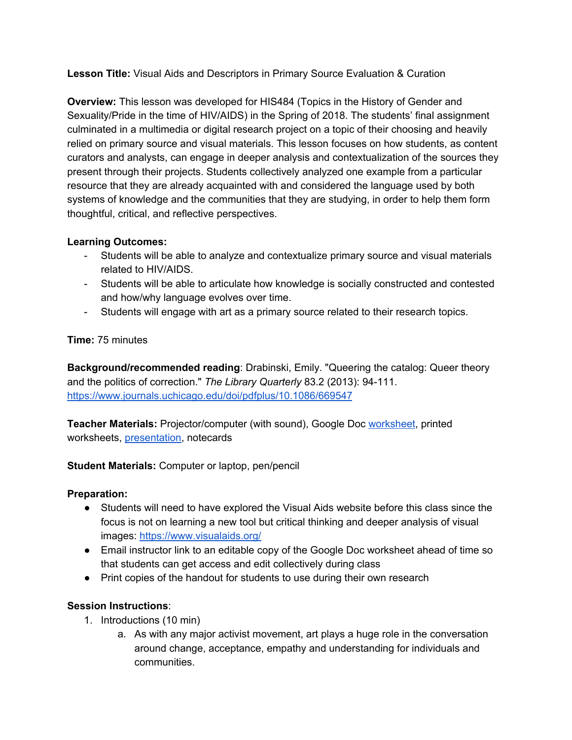**Lesson Title:** Visual Aids and Descriptors in Primary Source Evaluation & Curation

**Overview:** This lesson was developed for HIS484 (Topics in the History of Gender and Sexuality/Pride in the time of HIV/AIDS) in the Spring of 2018. The students' final assignment culminated in a multimedia or digital research project on a topic of their choosing and heavily relied on primary source and visual materials. This lesson focuses on how students, as content curators and analysts, can engage in deeper analysis and contextualization of the sources they present through their projects. Students collectively analyzed one example from a particular resource that they are already acquainted with and considered the language used by both systems of knowledge and the communities that they are studying, in order to help them form thoughtful, critical, and reflective perspectives.

## **Learning Outcomes:**

- Students will be able to analyze and contextualize primary source and visual materials related to HIV/AIDS.
- Students will be able to articulate how knowledge is socially constructed and contested and how/why language evolves over time.
- Students will engage with art as a primary source related to their research topics.

## **Time:** 75 minutes

**Background/recommended reading**: Drabinski, Emily. "Queering the catalog: Queer theory and the politics of correction." *The Library Quarterly* 83.2 (2013): 94-111. <https://www.journals.uchicago.edu/doi/pdfplus/10.1086/669547>

**Teacher Materials:** Projector/computer (with sound), Google Doc [worksheet,](https://docs.google.com/document/d/1pB7uNVuGnCn_7SwjSbKxeAP30QrDw3JAPi9aUuf4gEo/edit?usp=sharing) printed worksheets, [presentation](https://docs.google.com/presentation/d/1eRQ_blsMUQ8cSJ4qC_mdWXe__88WuRi5eziF67Z_aTM/edit?usp=sharing), notecards

**Student Materials:** Computer or laptop, pen/pencil

## **Preparation:**

- Students will need to have explored the Visual Aids website before this class since the focus is not on learning a new tool but critical thinking and deeper analysis of visual images: <https://www.visualaids.org/>
- Email instructor link to an editable copy of the Google Doc worksheet ahead of time so that students can get access and edit collectively during class
- Print copies of the handout for students to use during their own research

## **Session Instructions**:

- 1. Introductions (10 min)
	- a. As with any major activist movement, art plays a huge role in the conversation around change, acceptance, empathy and understanding for individuals and communities.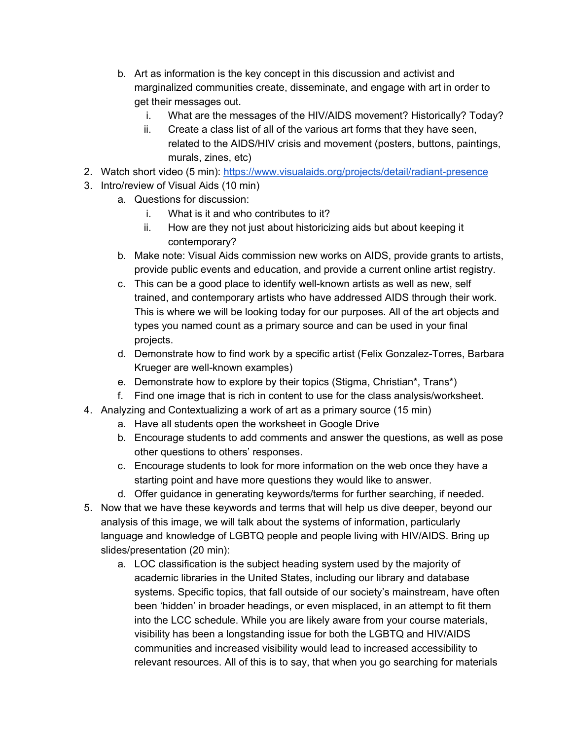- b. Art as information is the key concept in this discussion and activist and marginalized communities create, disseminate, and engage with art in order to get their messages out.
	- i. What are the messages of the HIV/AIDS movement? Historically? Today?
	- ii. Create a class list of all of the various art forms that they have seen, related to the AIDS/HIV crisis and movement (posters, buttons, paintings, murals, zines, etc)
- 2. Watch short video (5 min): <https://www.visualaids.org/projects/detail/radiant-presence>
- 3. Intro/review of Visual Aids (10 min)
	- a. Questions for discussion:
		- i. What is it and who contributes to it?
		- ii. How are they not just about historicizing aids but about keeping it contemporary?
	- b. Make note: Visual Aids commission new works on AIDS, provide grants to artists, provide public events and education, and provide a current online artist registry.
	- c. This can be a good place to identify well-known artists as well as new, self trained, and contemporary artists who have addressed AIDS through their work. This is where we will be looking today for our purposes. All of the art objects and types you named count as a primary source and can be used in your final projects.
	- d. Demonstrate how to find work by a specific artist (Felix Gonzalez-Torres, Barbara Krueger are well-known examples)
	- e. Demonstrate how to explore by their topics (Stigma, Christian\*, Trans\*)
	- f. Find one image that is rich in content to use for the class analysis/worksheet.
- 4. Analyzing and Contextualizing a work of art as a primary source (15 min)
	- a. Have all students open the worksheet in Google Drive
	- b. Encourage students to add comments and answer the questions, as well as pose other questions to others' responses.
	- c. Encourage students to look for more information on the web once they have a starting point and have more questions they would like to answer.
	- d. Offer guidance in generating keywords/terms for further searching, if needed.
- 5. Now that we have these keywords and terms that will help us dive deeper, beyond our analysis of this image, we will talk about the systems of information, particularly language and knowledge of LGBTQ people and people living with HIV/AIDS. Bring up slides/presentation (20 min):
	- a. LOC classification is the subject heading system used by the majority of academic libraries in the United States, including our library and database systems. Specific topics, that fall outside of our society's mainstream, have often been 'hidden' in broader headings, or even misplaced, in an attempt to fit them into the LCC schedule. While you are likely aware from your course materials, visibility has been a longstanding issue for both the LGBTQ and HIV/AIDS communities and increased visibility would lead to increased accessibility to relevant resources. All of this is to say, that when you go searching for materials